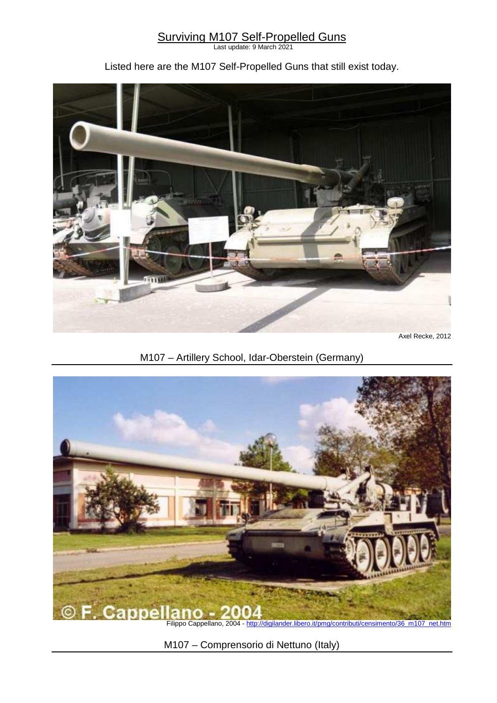### **Surviving M107 Self-Propelled Guns**

Last update: 9 March 2021

### Listed here are the M107 Self-Propelled Guns that still exist today.



Axel Recke, 2012

## M107 – Artillery School, Idar-Oberstein (Germany)



M107 – Comprensorio di Nettuno (Italy)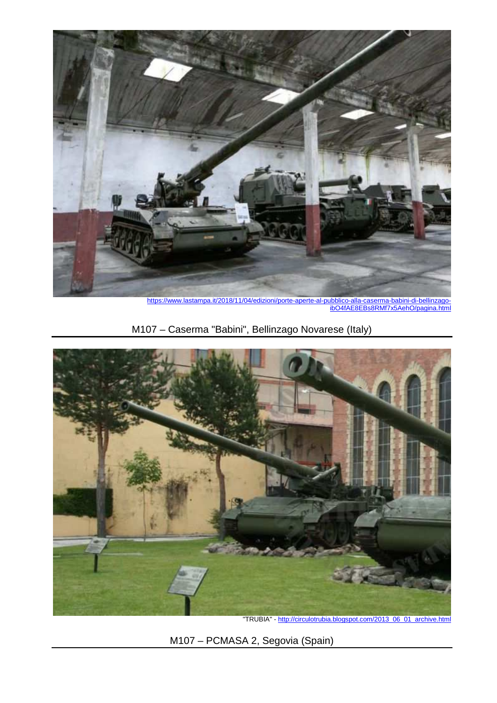

https://www.lastampa.it/2018/11/04/edizioni/porte-aperte-al-pubblico-alla-caserma-babini-di-bellinzago-<br>ibO4fAE8EBs8RMf7x5AebO/pagina.html ibO4fAE8EBs8RMf7x5AehO/pagin

# M107 – Caserma "Babini", Bellinzago Novarese (Italy)



"TRUBIA" - http://circulotrubia.blogspot.com/2013\_06\_01\_archive.html

M107 – PCMASA 2, Segovia (Spain)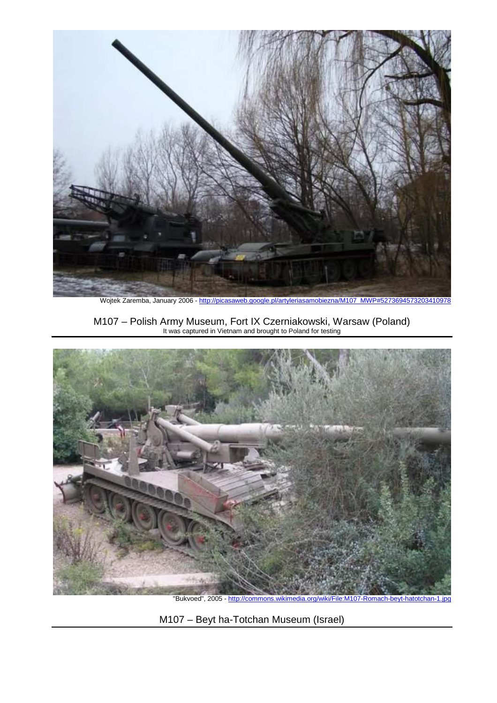

Wojtek Zaremba, January 2006 - http://picasaweb.google.pl/artyleriasamobiezna/M107\_MWP#5273694573203410978

M107 – Polish Army Museum, Fort IX Czerniakowski, Warsaw (Poland) It was captured in Vietnam and brought to Poland for testing



M107 – Beyt ha-Totchan Museum (Israel)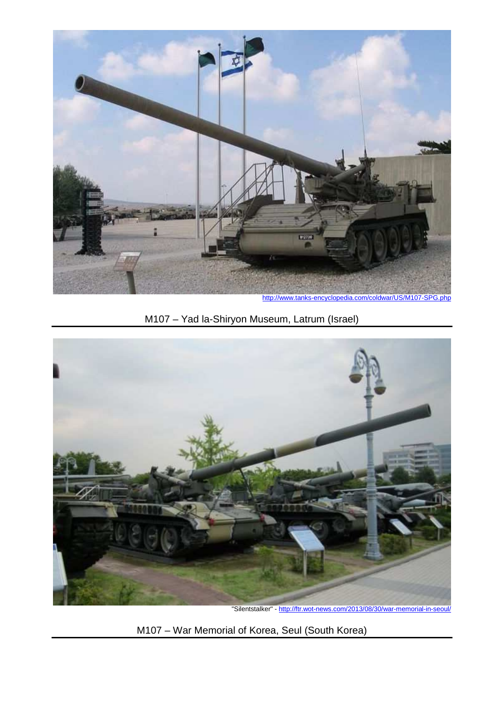

M107 – Yad la-Shiryon Museum, Latrum (Israel)



"Silentstalker" - http://ftr.wot-news.com/2013/08/30/war-memorial-in-seoul/

M107 – War Memorial of Korea, Seul (South Korea)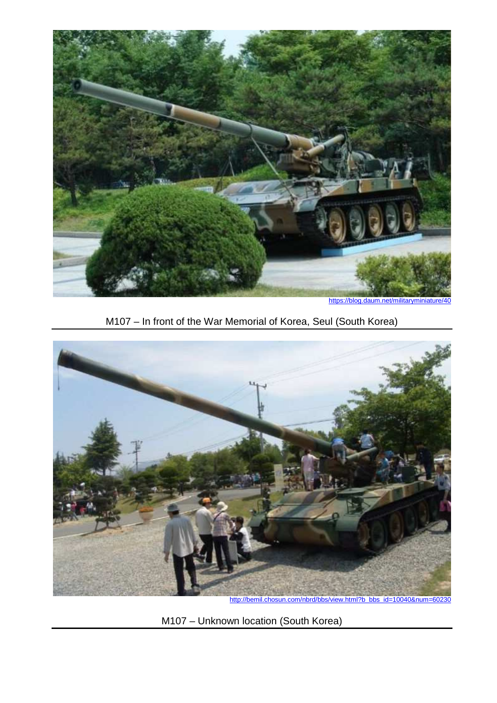

https://blog.daum.net/militaryminiatu

M107 – In front of the War Memorial of Korea, Seul (South Korea)



http://bemil.chosun.com/nbrd/bbs/view.html?b\_bbs\_id=10040&num=60230

M107 – Unknown location (South Korea)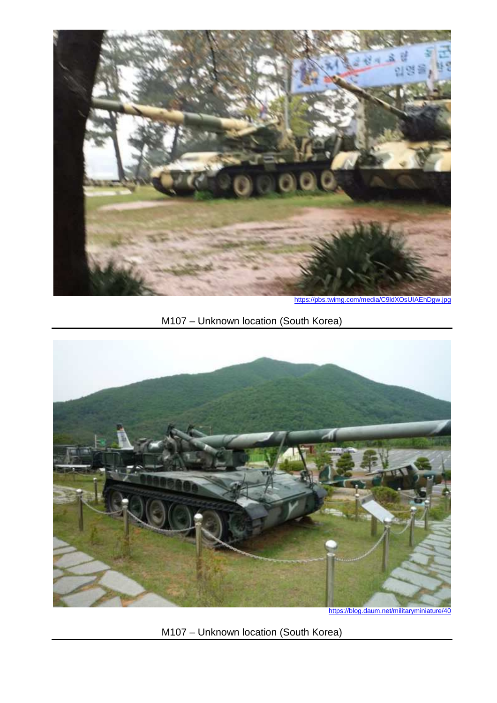

https://pbs.twimg.com/media/C9ldXOsUIAEhDgw.jpg

## M107 – Unknown location (South Korea)



M107 – Unknown location (South Korea)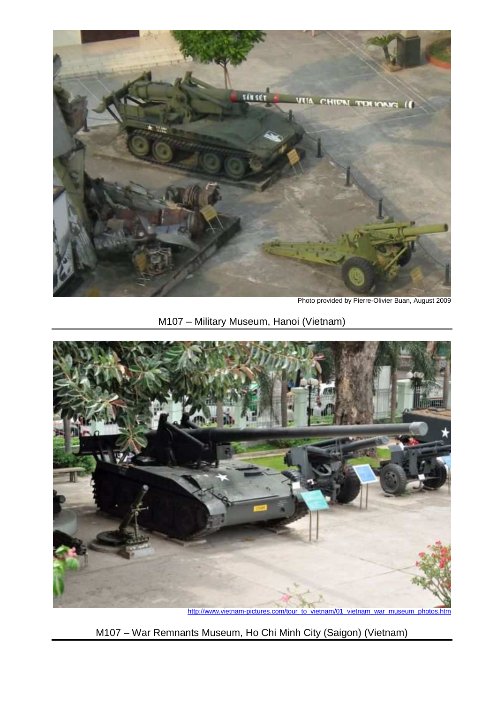

Photo provided by Pierre-Olivier Buan, August 2009

## M107 – Military Museum, Hanoi (Vietnam)



http://www.vietnam-pictures.com/tour\_to\_vietnam/01\_vietnam\_war\_museum\_photos.htm

M107 – War Remnants Museum, Ho Chi Minh City (Saigon) (Vietnam)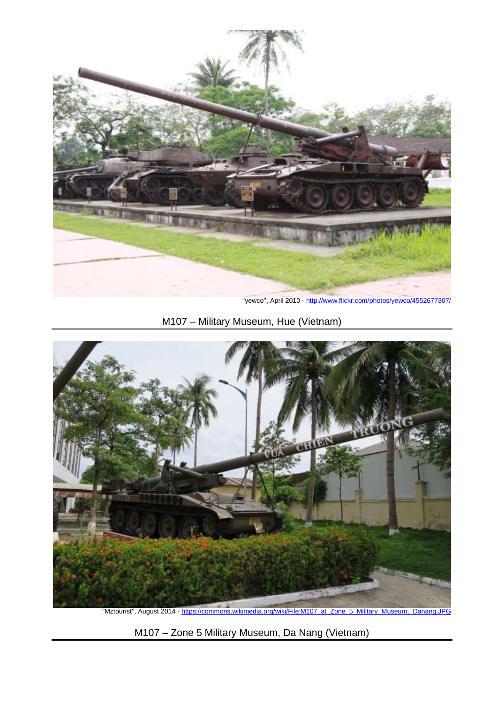

"yewco'', April 2010 - http://www.flickr.com/photos/yewco/4552677307/

M107 – Military Museum, Hue (Vietnam)



"Mztourist'', August 2014 - https://commons.wikimedia.org/wiki/File:M107\_at\_Zone\_5\_Military\_Museum,\_Danang.JPG

M107 – Zone 5 Military Museum, Da Nang (Vietnam)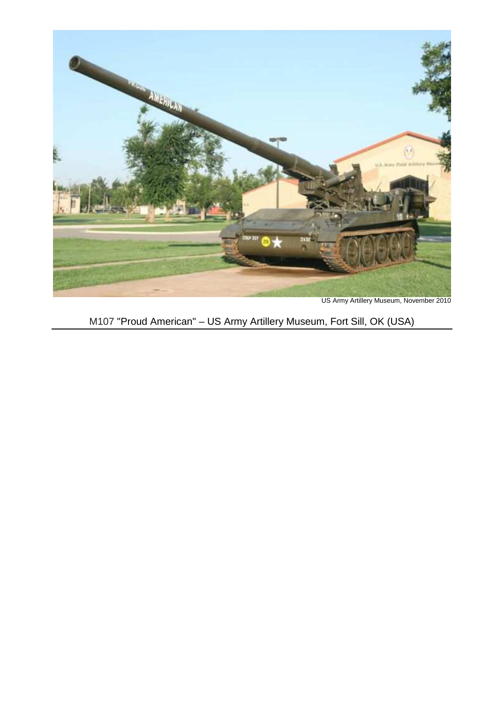

US Army Artillery Museum, November 2010

# M107 "Proud American" – US Army Artillery Museum, Fort Sill, OK (USA)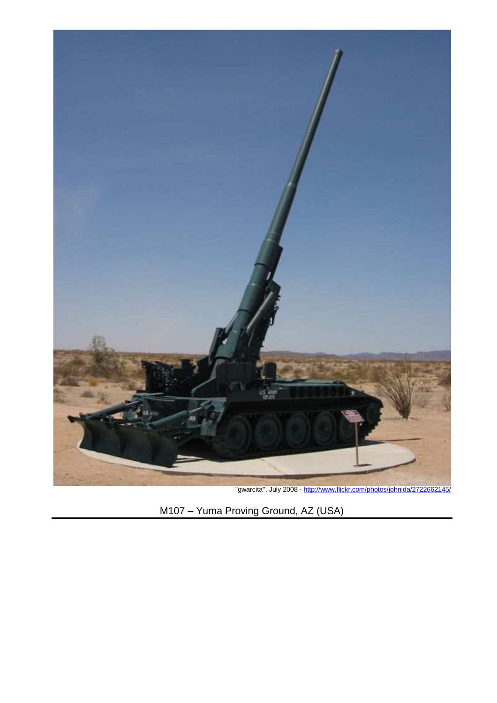

"gwarcita'', July 2008 - http://www.flickr.com/photos/johnida/2722662145/

M107 – Yuma Proving Ground, AZ (USA)